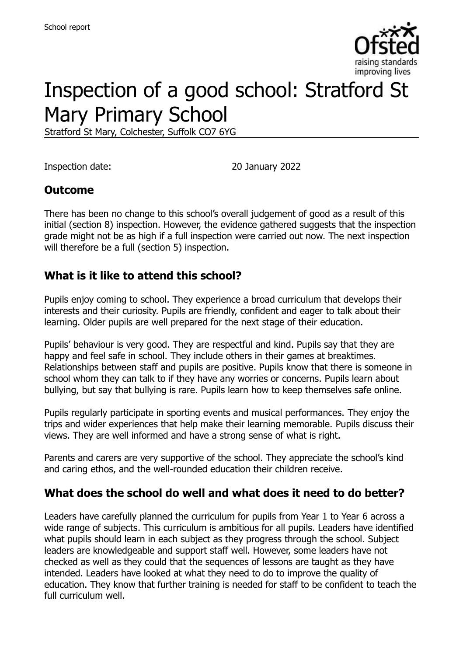

# Inspection of a good school: Stratford St Mary Primary School

Stratford St Mary, Colchester, Suffolk CO7 6YG

Inspection date: 20 January 2022

### **Outcome**

There has been no change to this school's overall judgement of good as a result of this initial (section 8) inspection. However, the evidence gathered suggests that the inspection grade might not be as high if a full inspection were carried out now. The next inspection will therefore be a full (section 5) inspection.

### **What is it like to attend this school?**

Pupils enjoy coming to school. They experience a broad curriculum that develops their interests and their curiosity. Pupils are friendly, confident and eager to talk about their learning. Older pupils are well prepared for the next stage of their education.

Pupils' behaviour is very good. They are respectful and kind. Pupils say that they are happy and feel safe in school. They include others in their games at breaktimes. Relationships between staff and pupils are positive. Pupils know that there is someone in school whom they can talk to if they have any worries or concerns. Pupils learn about bullying, but say that bullying is rare. Pupils learn how to keep themselves safe online.

Pupils regularly participate in sporting events and musical performances. They enjoy the trips and wider experiences that help make their learning memorable. Pupils discuss their views. They are well informed and have a strong sense of what is right.

Parents and carers are very supportive of the school. They appreciate the school's kind and caring ethos, and the well-rounded education their children receive.

### **What does the school do well and what does it need to do better?**

Leaders have carefully planned the curriculum for pupils from Year 1 to Year 6 across a wide range of subjects. This curriculum is ambitious for all pupils. Leaders have identified what pupils should learn in each subject as they progress through the school. Subject leaders are knowledgeable and support staff well. However, some leaders have not checked as well as they could that the sequences of lessons are taught as they have intended. Leaders have looked at what they need to do to improve the quality of education. They know that further training is needed for staff to be confident to teach the full curriculum well.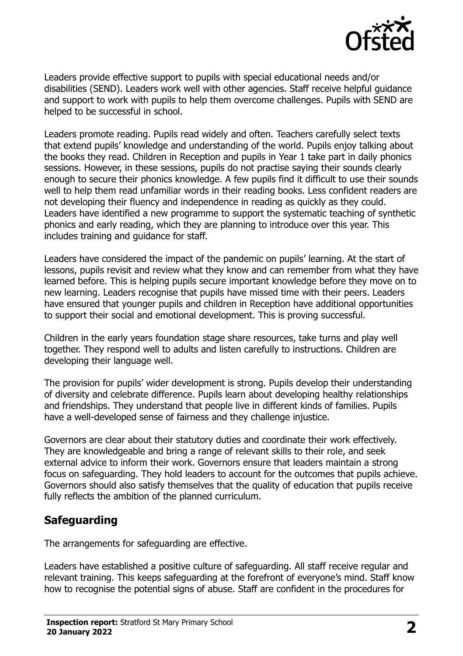

Leaders provide effective support to pupils with special educational needs and/or disabilities (SEND). Leaders work well with other agencies. Staff receive helpful guidance and support to work with pupils to help them overcome challenges. Pupils with SEND are helped to be successful in school.

Leaders promote reading. Pupils read widely and often. Teachers carefully select texts that extend pupils' knowledge and understanding of the world. Pupils enjoy talking about the books they read. Children in Reception and pupils in Year 1 take part in daily phonics sessions. However, in these sessions, pupils do not practise saying their sounds clearly enough to secure their phonics knowledge. A few pupils find it difficult to use their sounds well to help them read unfamiliar words in their reading books. Less confident readers are not developing their fluency and independence in reading as quickly as they could. Leaders have identified a new programme to support the systematic teaching of synthetic phonics and early reading, which they are planning to introduce over this year. This includes training and guidance for staff.

Leaders have considered the impact of the pandemic on pupils' learning. At the start of lessons, pupils revisit and review what they know and can remember from what they have learned before. This is helping pupils secure important knowledge before they move on to new learning. Leaders recognise that pupils have missed time with their peers. Leaders have ensured that younger pupils and children in Reception have additional opportunities to support their social and emotional development. This is proving successful.

Children in the early years foundation stage share resources, take turns and play well together. They respond well to adults and listen carefully to instructions. Children are developing their language well.

The provision for pupils' wider development is strong. Pupils develop their understanding of diversity and celebrate difference. Pupils learn about developing healthy relationships and friendships. They understand that people live in different kinds of families. Pupils have a well-developed sense of fairness and they challenge injustice.

Governors are clear about their statutory duties and coordinate their work effectively. They are knowledgeable and bring a range of relevant skills to their role, and seek external advice to inform their work. Governors ensure that leaders maintain a strong focus on safeguarding. They hold leaders to account for the outcomes that pupils achieve. Governors should also satisfy themselves that the quality of education that pupils receive fully reflects the ambition of the planned curriculum.

### **Safeguarding**

The arrangements for safeguarding are effective.

Leaders have established a positive culture of safeguarding. All staff receive regular and relevant training. This keeps safeguarding at the forefront of everyone's mind. Staff know how to recognise the potential signs of abuse. Staff are confident in the procedures for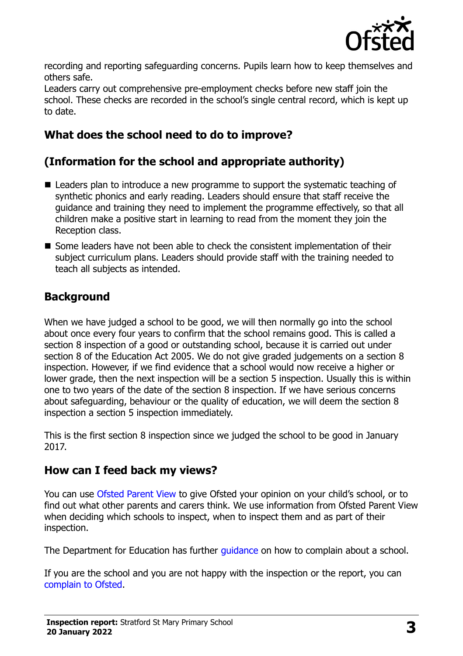

recording and reporting safeguarding concerns. Pupils learn how to keep themselves and others safe.

Leaders carry out comprehensive pre-employment checks before new staff join the school. These checks are recorded in the school's single central record, which is kept up to date.

# **What does the school need to do to improve?**

# **(Information for the school and appropriate authority)**

- Leaders plan to introduce a new programme to support the systematic teaching of synthetic phonics and early reading. Leaders should ensure that staff receive the guidance and training they need to implement the programme effectively, so that all children make a positive start in learning to read from the moment they join the Reception class.
- Some leaders have not been able to check the consistent implementation of their subject curriculum plans. Leaders should provide staff with the training needed to teach all subjects as intended.

# **Background**

When we have judged a school to be good, we will then normally go into the school about once every four years to confirm that the school remains good. This is called a section 8 inspection of a good or outstanding school, because it is carried out under section 8 of the Education Act 2005. We do not give graded judgements on a section 8 inspection. However, if we find evidence that a school would now receive a higher or lower grade, then the next inspection will be a section 5 inspection. Usually this is within one to two years of the date of the section 8 inspection. If we have serious concerns about safeguarding, behaviour or the quality of education, we will deem the section 8 inspection a section 5 inspection immediately.

This is the first section 8 inspection since we judged the school to be good in January 2017.

### **How can I feed back my views?**

You can use [Ofsted Parent View](https://parentview.ofsted.gov.uk/) to give Ofsted your opinion on your child's school, or to find out what other parents and carers think. We use information from Ofsted Parent View when deciding which schools to inspect, when to inspect them and as part of their inspection.

The Department for Education has further [guidance](http://www.gov.uk/complain-about-school) on how to complain about a school.

If you are the school and you are not happy with the inspection or the report, you can [complain to Ofsted.](https://www.gov.uk/complain-ofsted-report)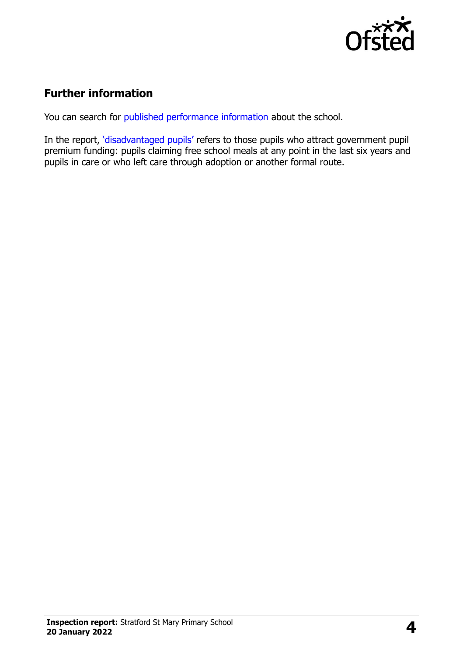

# **Further information**

You can search for [published performance information](http://www.compare-school-performance.service.gov.uk/) about the school.

In the report, '[disadvantaged pupils](http://www.gov.uk/guidance/pupil-premium-information-for-schools-and-alternative-provision-settings)' refers to those pupils who attract government pupil premium funding: pupils claiming free school meals at any point in the last six years and pupils in care or who left care through adoption or another formal route.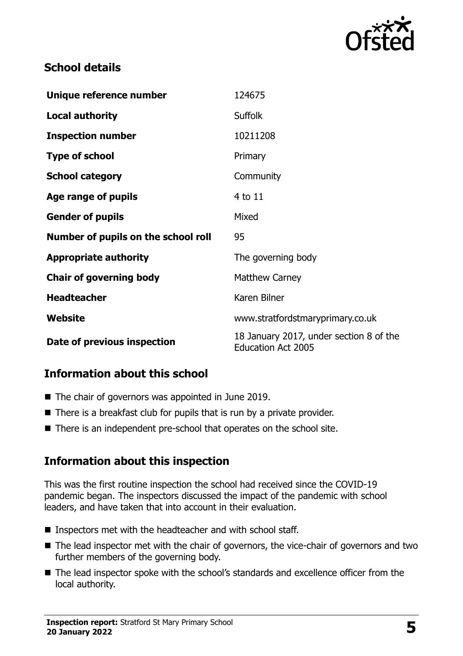

## **School details**

| Unique reference number             | 124675                                                               |
|-------------------------------------|----------------------------------------------------------------------|
| <b>Local authority</b>              | <b>Suffolk</b>                                                       |
| <b>Inspection number</b>            | 10211208                                                             |
| <b>Type of school</b>               | Primary                                                              |
| <b>School category</b>              | Community                                                            |
| Age range of pupils                 | 4 to 11                                                              |
| <b>Gender of pupils</b>             | Mixed                                                                |
| Number of pupils on the school roll | 95                                                                   |
| <b>Appropriate authority</b>        | The governing body                                                   |
| <b>Chair of governing body</b>      | <b>Matthew Carney</b>                                                |
| <b>Headteacher</b>                  | Karen Bilner                                                         |
| Website                             | www.stratfordstmaryprimary.co.uk                                     |
| Date of previous inspection         | 18 January 2017, under section 8 of the<br><b>Education Act 2005</b> |

### **Information about this school**

- The chair of governors was appointed in June 2019.
- $\blacksquare$  There is a breakfast club for pupils that is run by a private provider.
- There is an independent pre-school that operates on the school site.

# **Information about this inspection**

This was the first routine inspection the school had received since the COVID-19 pandemic began. The inspectors discussed the impact of the pandemic with school leaders, and have taken that into account in their evaluation.

- Inspectors met with the headteacher and with school staff.
- The lead inspector met with the chair of governors, the vice-chair of governors and two further members of the governing body.
- The lead inspector spoke with the school's standards and excellence officer from the local authority.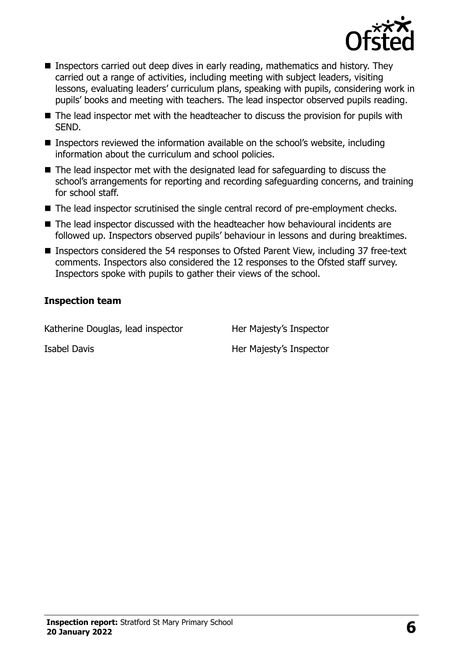

- Inspectors carried out deep dives in early reading, mathematics and history. They carried out a range of activities, including meeting with subject leaders, visiting lessons, evaluating leaders' curriculum plans, speaking with pupils, considering work in pupils' books and meeting with teachers. The lead inspector observed pupils reading.
- The lead inspector met with the headteacher to discuss the provision for pupils with SEND.
- Inspectors reviewed the information available on the school's website, including information about the curriculum and school policies.
- The lead inspector met with the designated lead for safeguarding to discuss the school's arrangements for reporting and recording safeguarding concerns, and training for school staff.
- The lead inspector scrutinised the single central record of pre-employment checks.
- The lead inspector discussed with the headteacher how behavioural incidents are followed up. Inspectors observed pupils' behaviour in lessons and during breaktimes.
- Inspectors considered the 54 responses to Ofsted Parent View, including 37 free-text comments. Inspectors also considered the 12 responses to the Ofsted staff survey. Inspectors spoke with pupils to gather their views of the school.

#### **Inspection team**

Katherine Douglas, lead inspector Her Majesty's Inspector Isabel Davis **Her Majesty's Inspector**